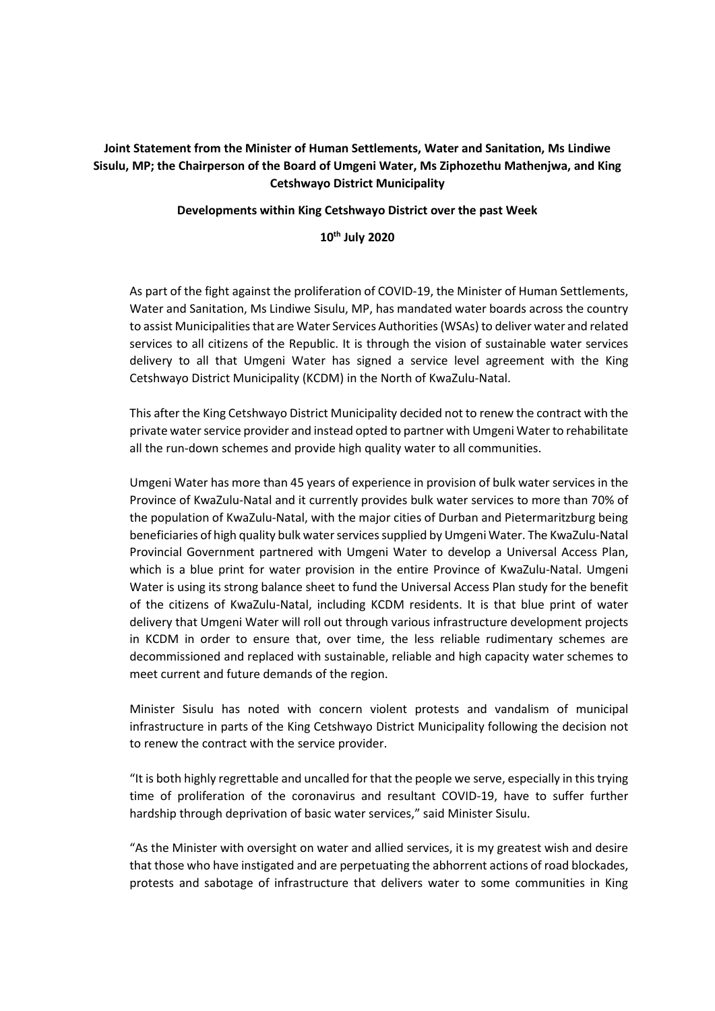## **Joint Statement from the Minister of Human Settlements, Water and Sanitation, Ms Lindiwe Sisulu, MP; the Chairperson of the Board of Umgeni Water, Ms Ziphozethu Mathenjwa, and King Cetshwayo District Municipality**

**Developments within King Cetshwayo District over the past Week**

**10th July 2020**

As part of the fight against the proliferation of COVID-19, the Minister of Human Settlements, Water and Sanitation, Ms Lindiwe Sisulu, MP, has mandated water boards across the country to assist Municipalities that are Water Services Authorities (WSAs) to deliver water and related services to all citizens of the Republic. It is through the vision of sustainable water services delivery to all that Umgeni Water has signed a service level agreement with the King Cetshwayo District Municipality (KCDM) in the North of KwaZulu-Natal.

This after the King Cetshwayo District Municipality decided not to renew the contract with the private water service provider and instead opted to partner with Umgeni Water to rehabilitate all the run-down schemes and provide high quality water to all communities.

Umgeni Water has more than 45 years of experience in provision of bulk water services in the Province of KwaZulu-Natal and it currently provides bulk water services to more than 70% of the population of KwaZulu-Natal, with the major cities of Durban and Pietermaritzburg being beneficiaries of high quality bulk water services supplied by Umgeni Water. The KwaZulu-Natal Provincial Government partnered with Umgeni Water to develop a Universal Access Plan, which is a blue print for water provision in the entire Province of KwaZulu-Natal. Umgeni Water is using its strong balance sheet to fund the Universal Access Plan study for the benefit of the citizens of KwaZulu-Natal, including KCDM residents. It is that blue print of water delivery that Umgeni Water will roll out through various infrastructure development projects in KCDM in order to ensure that, over time, the less reliable rudimentary schemes are decommissioned and replaced with sustainable, reliable and high capacity water schemes to meet current and future demands of the region.

Minister Sisulu has noted with concern violent protests and vandalism of municipal infrastructure in parts of the King Cetshwayo District Municipality following the decision not to renew the contract with the service provider.

"It is both highly regrettable and uncalled for that the people we serve, especially in this trying time of proliferation of the coronavirus and resultant COVID-19, have to suffer further hardship through deprivation of basic water services," said Minister Sisulu.

"As the Minister with oversight on water and allied services, it is my greatest wish and desire that those who have instigated and are perpetuating the abhorrent actions of road blockades, protests and sabotage of infrastructure that delivers water to some communities in King